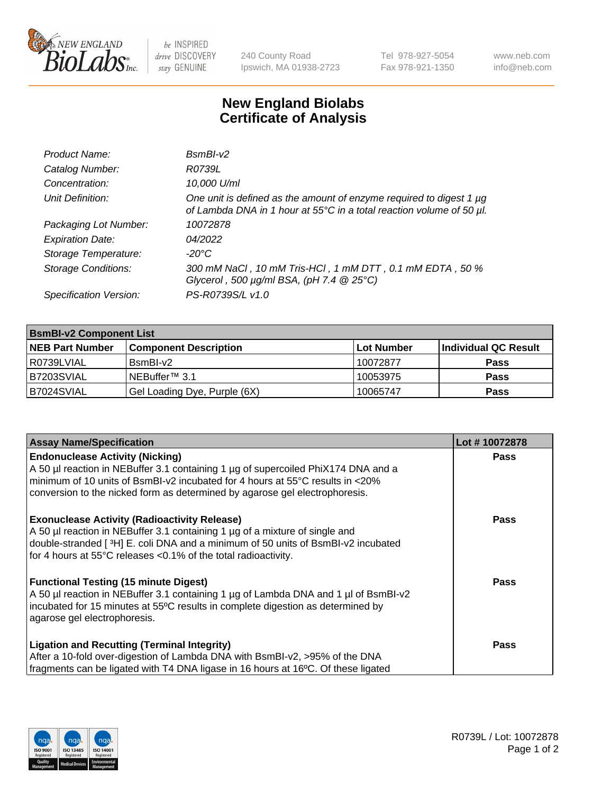

 $be$  INSPIRED drive DISCOVERY stay GENUINE

240 County Road Ipswich, MA 01938-2723 Tel 978-927-5054 Fax 978-921-1350 www.neb.com info@neb.com

## **New England Biolabs Certificate of Analysis**

| Product Name:              | $BsmBI-v2$                                                                                                                                  |
|----------------------------|---------------------------------------------------------------------------------------------------------------------------------------------|
| Catalog Number:            | R0739L                                                                                                                                      |
| Concentration:             | 10,000 U/ml                                                                                                                                 |
| Unit Definition:           | One unit is defined as the amount of enzyme required to digest 1 µg<br>of Lambda DNA in 1 hour at 55°C in a total reaction volume of 50 µl. |
| Packaging Lot Number:      | 10072878                                                                                                                                    |
| <b>Expiration Date:</b>    | 04/2022                                                                                                                                     |
| Storage Temperature:       | $-20^{\circ}$ C                                                                                                                             |
| <b>Storage Conditions:</b> | 300 mM NaCl, 10 mM Tris-HCl, 1 mM DTT, 0.1 mM EDTA, 50 %<br>Glycerol, 500 $\mu$ g/ml BSA, (pH 7.4 $@25°C$ )                                 |
| Specification Version:     | PS-R0739S/L v1.0                                                                                                                            |

| <b>BsmBI-v2 Component List</b> |                              |                   |                      |  |  |
|--------------------------------|------------------------------|-------------------|----------------------|--|--|
| <b>NEB Part Number</b>         | <b>Component Description</b> | <b>Lot Number</b> | Individual QC Result |  |  |
| I R0739LVIAL                   | BsmBI-v2                     | 10072877          | <b>Pass</b>          |  |  |
| B7203SVIAL                     | INEBuffer™ 3.1               | 10053975          | <b>Pass</b>          |  |  |
| B7024SVIAL                     | Gel Loading Dye, Purple (6X) | 10065747          | <b>Pass</b>          |  |  |

| <b>Assay Name/Specification</b>                                                      | Lot #10072878 |
|--------------------------------------------------------------------------------------|---------------|
| <b>Endonuclease Activity (Nicking)</b>                                               | <b>Pass</b>   |
| A 50 µl reaction in NEBuffer 3.1 containing 1 µg of supercoiled PhiX174 DNA and a    |               |
| $\mid$ minimum of 10 units of BsmBI-v2 incubated for 4 hours at 55°C results in <20% |               |
| conversion to the nicked form as determined by agarose gel electrophoresis.          |               |
| <b>Exonuclease Activity (Radioactivity Release)</b>                                  | Pass          |
| A 50 µl reaction in NEBuffer 3.1 containing 1 µg of a mixture of single and          |               |
| double-stranded [3H] E. coli DNA and a minimum of 50 units of BsmBI-v2 incubated     |               |
| for 4 hours at 55°C releases <0.1% of the total radioactivity.                       |               |
| <b>Functional Testing (15 minute Digest)</b>                                         | Pass          |
| A 50 µl reaction in NEBuffer 3.1 containing 1 µg of Lambda DNA and 1 µl of BsmBI-v2  |               |
| incubated for 15 minutes at 55°C results in complete digestion as determined by      |               |
| agarose gel electrophoresis.                                                         |               |
| <b>Ligation and Recutting (Terminal Integrity)</b>                                   | <b>Pass</b>   |
| After a 10-fold over-digestion of Lambda DNA with BsmBI-v2, >95% of the DNA          |               |
| fragments can be ligated with T4 DNA ligase in 16 hours at 16°C. Of these ligated    |               |